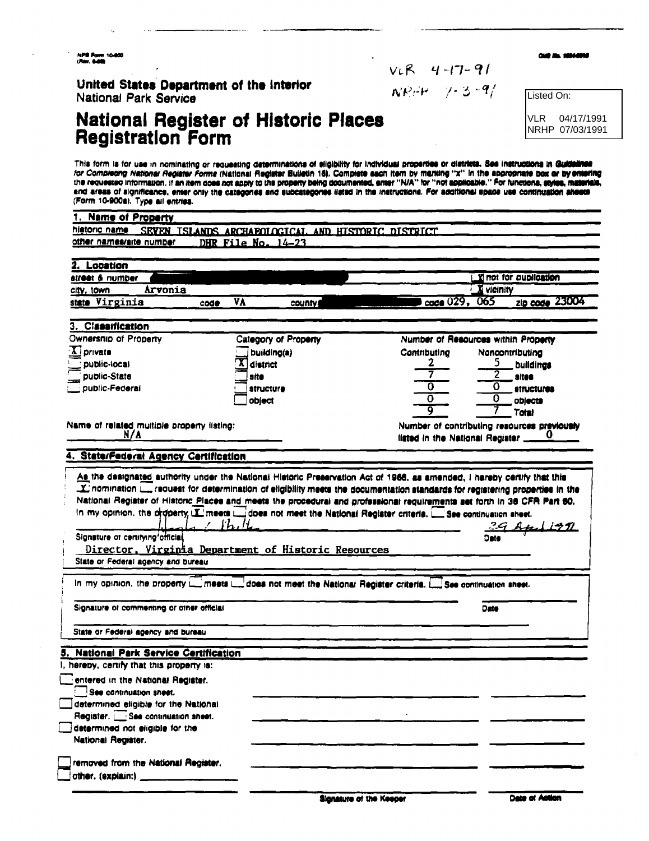NPB Pann 10-800<br>(Ray, 8-80)

United States Department of the Interior National Park Service

# National Register of Historic Places<br>Registration Form

 $NPH = 7 - 3 - 9/$ 

 $VLR$  4-17-91

Listed On:

CHR NL 10044010

**VLR** 04/17/1991 NRHP 07/03/1991

This form is for use in nominating or requesting determinations of eligibility for individual properties or districts. See instructions in Quidelines for Completing National Register Forms (National Register Builetin 18). Complete each item by marking "x" in the appropriate box or by entering<br>The requested information, if an item does not apply to the property being doc and areas of significance, enter only the categories and subcategories listed in the instructions. For additional space use continuation sheets (Form 10-900a). Type all entries.

| 1. Name of Property                                                                                                                                                                                                                                                                                                                                                                                                                                                                                                                   |                      |                                                    |                |                                                                                                              |
|---------------------------------------------------------------------------------------------------------------------------------------------------------------------------------------------------------------------------------------------------------------------------------------------------------------------------------------------------------------------------------------------------------------------------------------------------------------------------------------------------------------------------------------|----------------------|----------------------------------------------------|----------------|--------------------------------------------------------------------------------------------------------------|
| historic name                                                                                                                                                                                                                                                                                                                                                                                                                                                                                                                         |                      | SEVEN ISLANDS ARCHAFOLOGICAL AND HISTORIC DISTRICT |                |                                                                                                              |
| other names/arte number                                                                                                                                                                                                                                                                                                                                                                                                                                                                                                               | DHR File No. $14-23$ |                                                    |                |                                                                                                              |
|                                                                                                                                                                                                                                                                                                                                                                                                                                                                                                                                       |                      |                                                    |                |                                                                                                              |
| Location                                                                                                                                                                                                                                                                                                                                                                                                                                                                                                                              |                      |                                                    |                |                                                                                                              |
| street & number                                                                                                                                                                                                                                                                                                                                                                                                                                                                                                                       |                      |                                                    |                | <b>Timot for publication</b>                                                                                 |
| Arvonia<br>city, town                                                                                                                                                                                                                                                                                                                                                                                                                                                                                                                 |                      |                                                    |                | X vicinity                                                                                                   |
| state Virginia                                                                                                                                                                                                                                                                                                                                                                                                                                                                                                                        | VA<br>code           | county                                             | code 029, 065  | zip code 23004                                                                                               |
| 3. Classification                                                                                                                                                                                                                                                                                                                                                                                                                                                                                                                     |                      |                                                    |                |                                                                                                              |
| Ownership of Property                                                                                                                                                                                                                                                                                                                                                                                                                                                                                                                 |                      | Category of Property                               |                | Number of Resources within Property                                                                          |
| $X$ private                                                                                                                                                                                                                                                                                                                                                                                                                                                                                                                           |                      | building(a)                                        | Contributing   | Noncontributing                                                                                              |
| <b>DUDIIC-IDCal</b>                                                                                                                                                                                                                                                                                                                                                                                                                                                                                                                   | district             |                                                    | Z              | 5<br>buildings                                                                                               |
| public-State                                                                                                                                                                                                                                                                                                                                                                                                                                                                                                                          | site                 |                                                    |                | sites                                                                                                        |
| public-Federal                                                                                                                                                                                                                                                                                                                                                                                                                                                                                                                        |                      | structure                                          | 0              | Ö<br><b>structures</b>                                                                                       |
|                                                                                                                                                                                                                                                                                                                                                                                                                                                                                                                                       | object               |                                                    | $\overline{o}$ | 0<br>oblects                                                                                                 |
|                                                                                                                                                                                                                                                                                                                                                                                                                                                                                                                                       |                      |                                                    | $\overline{9}$ | Total                                                                                                        |
| Name of related multiple property listing:                                                                                                                                                                                                                                                                                                                                                                                                                                                                                            |                      |                                                    |                | Number of contributing resources previously                                                                  |
| N/A                                                                                                                                                                                                                                                                                                                                                                                                                                                                                                                                   |                      |                                                    |                | fisted in the National Register __                                                                           |
|                                                                                                                                                                                                                                                                                                                                                                                                                                                                                                                                       |                      |                                                    |                |                                                                                                              |
| 4. State/Federal Agency Certification                                                                                                                                                                                                                                                                                                                                                                                                                                                                                                 |                      |                                                    |                |                                                                                                              |
| As the designated authority under the National Historic Preservation Act of 1968, as amended, I hareby certify that this<br>National Register of Historic Places and meets the procedural and professional requirements set forth in 36 CFR Part 60.<br>In my opinion, the orderity, $\Sigma$ meets $\square$ does not meet the National Register criteria. $\square$ See continuation sheet.                                                                                                                                         | kh                   |                                                    |                |                                                                                                              |
| Signature of certifying official<br>Director, Virginia Department of Historic Resources                                                                                                                                                                                                                                                                                                                                                                                                                                               |                      |                                                    |                |                                                                                                              |
|                                                                                                                                                                                                                                                                                                                                                                                                                                                                                                                                       |                      |                                                    |                |                                                                                                              |
|                                                                                                                                                                                                                                                                                                                                                                                                                                                                                                                                       |                      |                                                    |                | Date                                                                                                         |
|                                                                                                                                                                                                                                                                                                                                                                                                                                                                                                                                       |                      |                                                    |                |                                                                                                              |
|                                                                                                                                                                                                                                                                                                                                                                                                                                                                                                                                       |                      |                                                    |                |                                                                                                              |
|                                                                                                                                                                                                                                                                                                                                                                                                                                                                                                                                       |                      |                                                    |                |                                                                                                              |
|                                                                                                                                                                                                                                                                                                                                                                                                                                                                                                                                       |                      |                                                    |                |                                                                                                              |
|                                                                                                                                                                                                                                                                                                                                                                                                                                                                                                                                       |                      |                                                    |                |                                                                                                              |
|                                                                                                                                                                                                                                                                                                                                                                                                                                                                                                                                       |                      |                                                    |                |                                                                                                              |
|                                                                                                                                                                                                                                                                                                                                                                                                                                                                                                                                       |                      |                                                    |                |                                                                                                              |
|                                                                                                                                                                                                                                                                                                                                                                                                                                                                                                                                       |                      |                                                    |                |                                                                                                              |
|                                                                                                                                                                                                                                                                                                                                                                                                                                                                                                                                       |                      |                                                    |                |                                                                                                              |
| State or Federal agency and bureau<br><b>National Park Service Certification</b>                                                                                                                                                                                                                                                                                                                                                                                                                                                      |                      |                                                    |                |                                                                                                              |
| In my opinion, the property in meets in does not meet the National Register criteria. The see continuation sheet.<br>Signature of commenting or other official<br>State or Federal agency and bureau<br>hereby, certify that this property is:<br>entered in the National Register.<br><b>See continuation sheet.</b><br>determined eligible for the National<br>Register.   See continuation sheet.<br>determined not eligible for the<br>National Register.<br>removed from the National Register.<br>other. (explain:) ___________ |                      |                                                    |                | request for determination of eligibility meets the documentation standards for registering properties in the |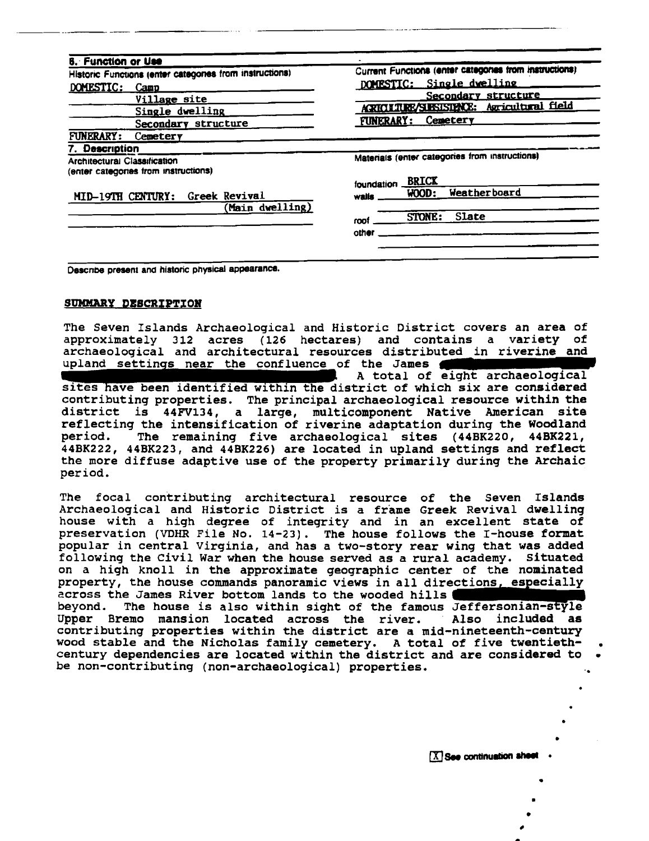| <b>6. Function or Use</b>                              |                                                       |
|--------------------------------------------------------|-------------------------------------------------------|
| Historic Functions (enter categones from instructions) | Current Functions (enter categones from instructions) |
| DOMESTIC:<br>Camp                                      | DOMESTIC: Single dwelling                             |
| Village site                                           | Secondary structure                                   |
| Single dwelling                                        | <b>ARICLIUR/SIESISME: Agricultural field</b>          |
| Secondary structure                                    | Cemetery<br><b>FUNERARY:</b>                          |
| <b>FUNERARY:</b><br>Cemetery                           |                                                       |
| 7. Description                                         |                                                       |
| Architectural Classification                           | Materials (enter categories from instructions)        |
| (enter categories from instructions)                   |                                                       |
|                                                        | <b>BRICK</b><br>foundation                            |
| MID-19TH CENTURY: Greek Revival                        | <b>Weatherboard</b><br>WOOD:<br>walis                 |
| Main dwelling)                                         |                                                       |
|                                                        | <b>STONE:</b><br>Slate<br>roof                        |
|                                                        | other                                                 |
|                                                        |                                                       |

Describe present and historic physical appearance.

#### SUMMARY DESCRIPTION

The Seven Islands Archaeological and Historic District covers an area of approximately 312 acres (126 hectares) and contains a variety of archaeological and architectural resources distributed in riverine and upland settings near the confluence of the James A total of eight archaeological sites have been identified within the district of which six are considered contributing properties. The principal archaeological resource within the district is 44FV134, a large, multicomponent Native American site reflecting the intensification of riverine adaptation during the Woodland

period. The remaining five archaeological sites (44BK220, 44BK221, 44BK222, 44BK223, and 44BK226) are located in upland settings and reflect the more diffuse adaptive use of the property primarily during the Archaic period.

The focal contributing architectural resource of the Seven Islands Archaeological and Historic District is a frame Greek Revival dwelling house with a high degree of integrity and in an excellent state of preservation (VDHR File No. 14-23). The house follows the I-house format popular in central Virginia, and has a two-story rear wing that was added following the Civil War when the house served as a rural academy. Situated on a high knoll in the approximate geographic center of the nominated property, the house commands panoramic views in all directions, especially across the James River bottom lands to the wooded hills beyond. The house is also within sight of the famous Jeffersonian-style Bremo mansion located across the river. Also included as Upper contributing properties within the district are a mid-nineteenth-century wood stable and the Nicholas family cemetery. A total of five twentiethcentury dependencies are located within the district and are considered to be non-contributing (non-archaeological) properties.

X See continuation sheet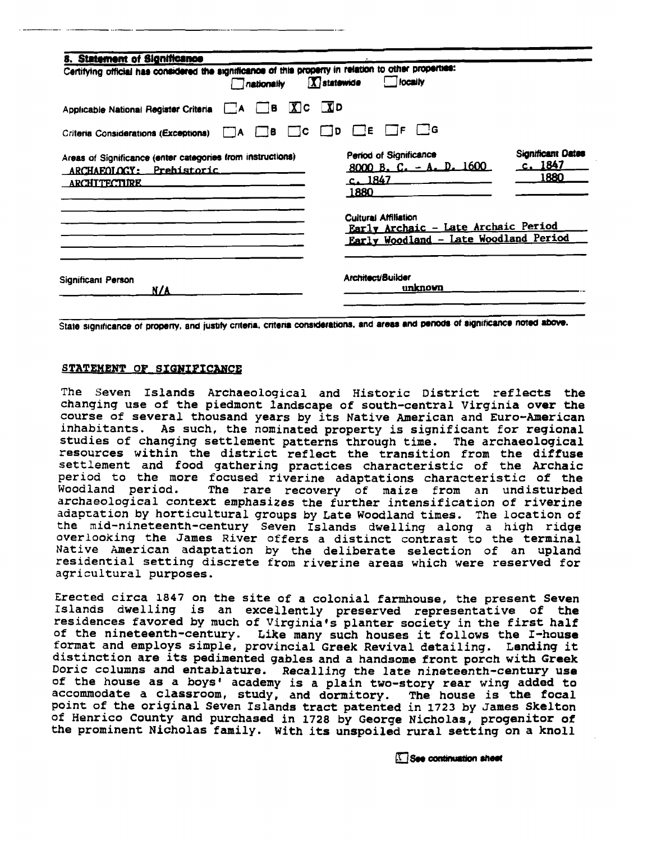| 8. Statement of Significance                                                                                  |                  |                   |                                |          |                                   |                            |                                                                              |
|---------------------------------------------------------------------------------------------------------------|------------------|-------------------|--------------------------------|----------|-----------------------------------|----------------------------|------------------------------------------------------------------------------|
| Certifying official has considered the significance of this property in relation to other properties:         |                  | $\Box$ nationally | $\boxed{\mathbf{X}}$ statewide |          | locally                           |                            |                                                                              |
| Applicable National Register Criteria                                                                         | $\mathsf{I}$ : A | $\Box$ B          | $X$ $C$ $X$ $D$                |          |                                   |                            |                                                                              |
| Criteria Considerations (Exceptions)                                                                          | $\overline{A}$   | $(B -$            | $\Box$ c $\Box$ d              | $\Box$ E | TF.                               | ⊺ ∃G                       |                                                                              |
| Areas of Significance (enter categories from instructions)<br>ARCHAEOLOGY: Prehistoric<br><b>ARCHITECTURE</b> |                  |                   |                                | 1880     | Period of Significance<br>c. 1847 | $8000 B$ , C. - A. D. 1600 | <b>Significant Dates</b><br>c.1847<br>1880                                   |
|                                                                                                               |                  |                   |                                |          | <b>Cultural Affiliation</b>       |                            | Early Archaic - Late Archaic Period<br>Early Woodland - Late Woodland Period |
| Significant Person<br>N/A                                                                                     |                  |                   |                                |          | Architect/Builder                 | unknown                    |                                                                              |

State significance of property, and justify criteria, criteria considerations, and areas and periods of significance noted above.

#### STATEMENT OF SIGNIFICANCE

The Seven Islands Archaeological and Historic District reflects the **changing use of the piedmont landscape of south-central Virginia over the**  course of several thousand years by its Native American and Euro-American **inhabitants. As such, the nominated property is significant for regional studies of changing settlement patterns through time. The archaeological resources within the district reflect the transition from the diffuse settlement and food gathering practices characteristic of the Archaic period to the more focused riverine adaptations characteristic of the**  The rare recovery of maize from an undisturbed **archaeological context emphasizes the further intensification of riverine adapration by horticultural groups by Late Woodland times. The location of the mid-nineteenth-century Seven Islands dwelling along a high ridge overlooking the James River offers a distinct contrast to the terminal Native American adaptation by the deliberate selection of an upland residential setting discrete from riverine areas which were reserved for agricultural purposes.** 

**Erected circa 1847 on the site of a colonial farmhouse, the present Seven Islands dwelling is an excellently preserved representative of the residences favored by much of Virginia's planter society in the first half of the nineteenth-century. Like many such houses it follows the I-house**  format and employs simple, provincial Greek Revival detailing. Lending it **distinction are its pedimented gables and a handsome front porch with Greek Doric columns and entablature. Recalling the late nineteenth-century use of the house as a boys' academy is a plain two-story rear wing added to accommodate a classroom, study, and dormitory. The house is the focal point of the original Seven Islands tract patented in 1723 by James Skelton of Henrico County and purchased in 1728 by George Nicholas, progenitor of the prominent Nicholas family. With its unspoiled rural setting on a knoll** 

See continuation sheet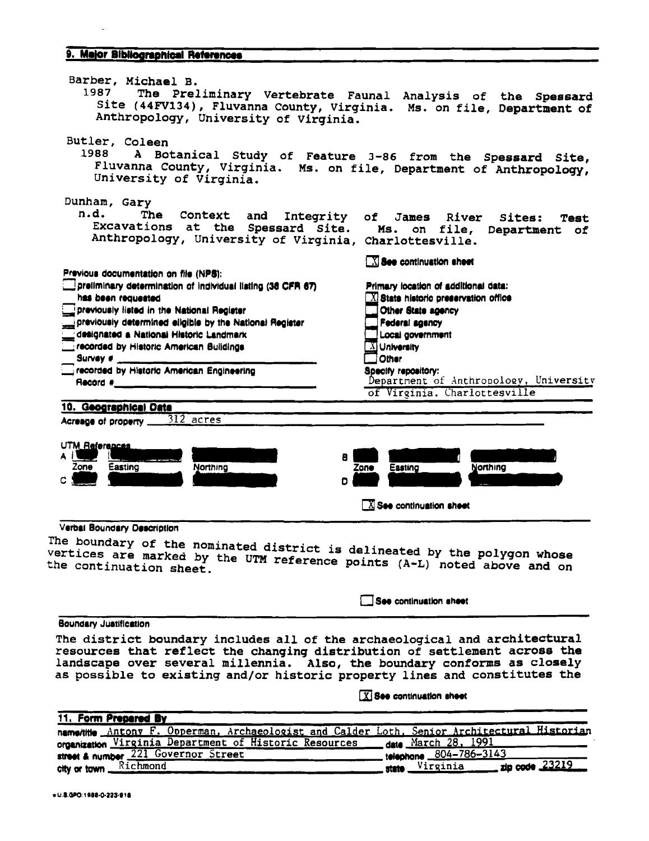#### 9. Major Bibliographical References

| Barber, Michael B.<br>1987<br>Site (44FV134), Fluvanna County, Virginia. Ms. on file, Department of                                                                                                                                                                                                                                                                                                                                  | The Preliminary Vertebrate Faunal Analysis of the Spessard                                                                                                                                                                                                                                        |
|--------------------------------------------------------------------------------------------------------------------------------------------------------------------------------------------------------------------------------------------------------------------------------------------------------------------------------------------------------------------------------------------------------------------------------------|---------------------------------------------------------------------------------------------------------------------------------------------------------------------------------------------------------------------------------------------------------------------------------------------------|
| Anthropology, University of Virginia.<br>Butler, Coleen<br>1988 - 198<br>Fluvanna County, Virginia. Ms. on file, Department of Anthropology,<br>University of Virginia.                                                                                                                                                                                                                                                              | A Botanical Study of Feature 3-86 from the Spessard Site,                                                                                                                                                                                                                                         |
| Dunham, Gary<br>n.d.<br>The<br>Context<br>and<br>Excavations at the Spessard Site.<br>Anthropology, University of Virginia, Charlottesville.                                                                                                                                                                                                                                                                                         | Integrity of James River<br>Sites:<br>Test<br>Ms. on file,<br>Department of                                                                                                                                                                                                                       |
| Previous documentation on file (NPS):<br>preliminary determination of individual listing (36 CFR 67)<br>has been requested<br>previously listed in the National Register<br>previously determined eligible by the National Register<br>designated a National Historic Landmark<br>recorded by Historic American Buildings<br>Survey $\ast$ __<br>recorded by Historic American Engineering<br>$\blacksquare$ Record # $\blacksquare$ | $\boxed{\text{X}}$ See continuation sheet<br>Primary location of additional data:<br>$\boxed{\text{X}}$ State historic preservation office<br>Other State agency<br>Federal agency<br>Local government<br>XI University<br>Other<br>Specify repository:<br>Department of Anthropology, University |
| 10. Geographical Data<br>312 acres<br>Acreage of property                                                                                                                                                                                                                                                                                                                                                                            | of Virginia. Charlottesville                                                                                                                                                                                                                                                                      |
| UTM References<br>A I L<br>8<br>Zone<br>Easting<br>Northing<br>c l<br>D                                                                                                                                                                                                                                                                                                                                                              | Northing<br>Zone<br>Easting<br>$\boxed{\text{X}}$ See continuation sheet                                                                                                                                                                                                                          |
| Verbal Boundary Description<br>The boundary of the nominated district is delineated by the polygon whose<br>vertices are marked by the UTM reference points (A-L) noted above and on<br>the continuation sheet.                                                                                                                                                                                                                      |                                                                                                                                                                                                                                                                                                   |
|                                                                                                                                                                                                                                                                                                                                                                                                                                      | See continuation sheet                                                                                                                                                                                                                                                                            |

#### **Boundary Justification**

The district boundary includes all of the archaeological and architectural resources that reflect the changing distribution of settlement across the landscape over several millennia. Also, the boundary conforms as closely as possible to existing and/or historic property lines and constitutes the

X See continuation sheet

| 11. Form Prepared By                                                                         |                               |
|----------------------------------------------------------------------------------------------|-------------------------------|
| name/title Antony F. Opperman, Archaeologist and Calder Loth, Senior Architectural Historian |                               |
| organization Virginia Department of Historic Resources                                       | <u> date March 28, 1991</u>   |
| street & number 221 Governor Street                                                          | telephone 804-786-3143        |
| city or town Richmond                                                                        | state Virginia zip code 23219 |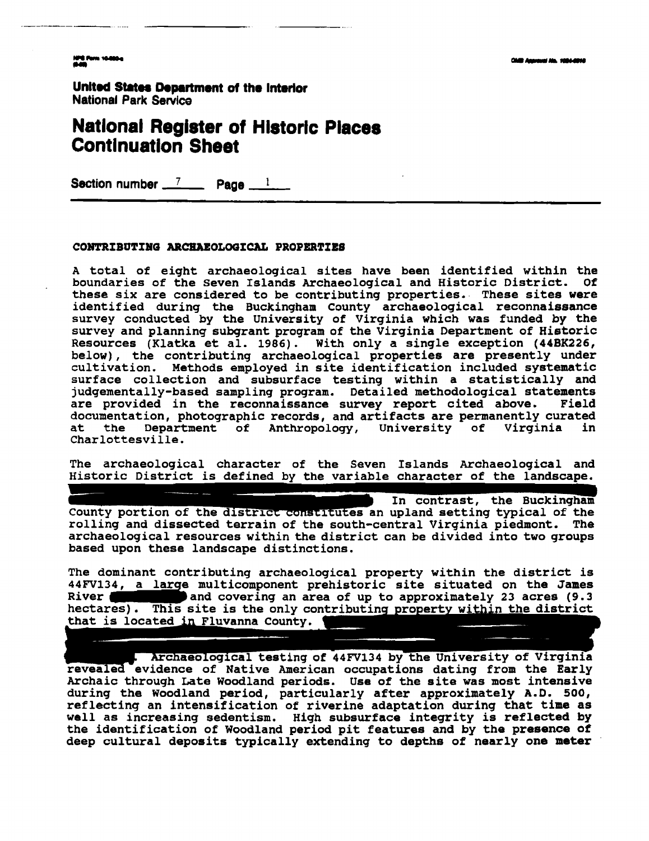NPE Form 10-000-a

**United States Department of the Interior National Park Sewice** 

### **Natlonal Register of Hlstorlc Places Contlnuatlon Sheet**

**Section number 7 Page 1** 

#### **CONTRIBUTINQ ARCHAEOLOaICAL PROPERTIES**

**A total of eight archaeological sites have been identified within the**  boundaries of the Seven Islands Archaeological and Historic District. **these six are considered to be contributing properties. These sites were identified during the Buckingham County archaeological reconnaissance survey conducted by the University of Virginia which was funded by the survey and planning subgrant program of the Virginia Department of Historic Resources (Klatka et al. 1986). With only a single exception (448x226, below), the contributing archaeological properties are presently under cultivation. Methods employed in site identification included systematic surface collection and subsurface testing within a statistically and judgementally-based sampling program. Detailed methodological statements are provided in the reconnaissance survey report cited above. Field documentation, photographic records, and artifacts are permanently curated Department** of Anthropology, University of Virginia **Charlottesville.** 

**The archaeological character of the Seven Islands Archaeological and**  Historic District is defined by the variable character of the landscape.

In contrast, the Buckingham County portion of the district constitutes an upland setting typical of the rolling and dissected terrain of the south-central Virginia piedmont. The **archaeological resources within the district can be divided into two groups based upon these landscape distinctions.** 

**The dominant contributing archaeological property within the district is multicomponent prehistoric site situated on the James**  River **and Covering an area of up to approximately 23 acres (9.3 hectares). This site is the only contributing property within the district** that is located in Fluvanna County.

Archaeological testing of 44FV134 by the University of Virginia **revealea-evidence of Native American occupations dating from the Early Archaic through Late Woodland periods. Use of the site was most intensive during the Woodland period, particularly after approximately A.D. 500, reflecting an intensification of riverine adaptation during that time as well as increasing sedentism, High subsurface integrity is reflected by the identification of Woodland period pit features and by the presence of deep cultural deposits typically extending to depths of nearly one meter**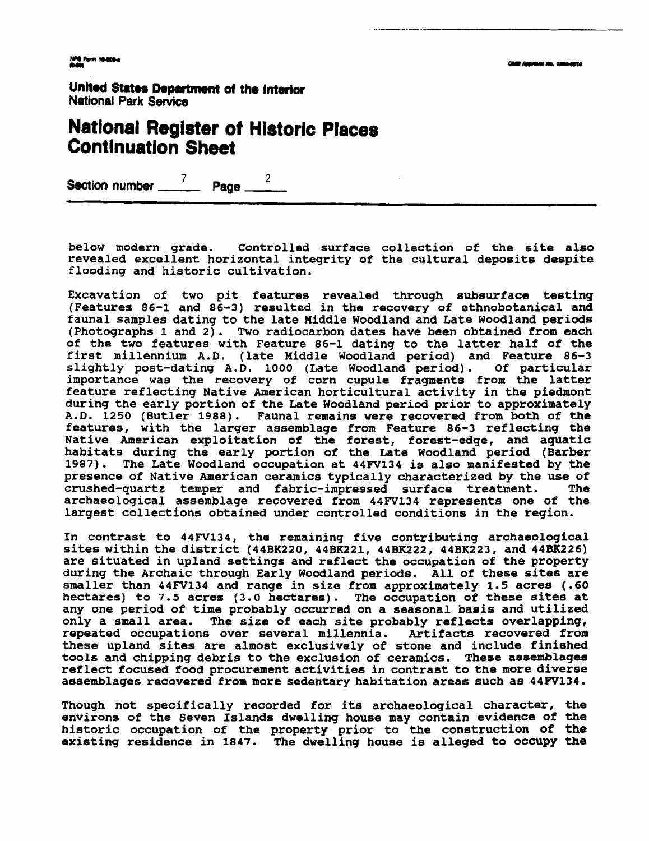### **National Register ot Historic Places Contlnuatlon Sheet**

Section number <u>7</u> Page 2

**below modern grade. Controlled surface collection of the site also revealed excellent horizontal integrity of the cultural deposits despite flooding and historic cultivation.** 

**Excavation of two pit features revealed through subsurface testing (Features 86-1 and 86-3) resulted in the recovery of ethnobotanical and faunal samples dating to the late Middle Woodland and Late Woodland periods (Photographs 1 and 2). Two radiocarbon dates have been obtained from each of the two features with Feature 86-1 dating to the latter half of the first millennium A.D. (late Middle Woodland period) and Feature 86-3 slightly post-dating A.D. 1000 (Late Woodland period). Of particular importance was the recovery of corn cupule fragments from the latter feature reflecting Native American horticultural activity in the piedmont during the early portion of the Late Woodland period prior to approximately A.D. 1250 (Butler 1988). Faunal remains were recovered from both of the features, with the larger assemblage from Feature 86-3 reflecting the Native American exploitation of the forest, forest-edge, and aquatic habitats during the early portion of the Late Woodland period (Barber 1987). The Late Woodland occupation at 44FV134 is also manifested by the presence of Native American ceramics typically characterized by the use of crushed-quartz temper and fabric-impressed surface treatment. The archaeological assemblage recovered from 44W134 represents one of the largest collections obtained under controlled conditions in the region.** 

**In contrast to 44FV134, the remaining five contributing archaeological**  sites within the district (44BK220, 44BK221, 44BK222, 44BK223, and 44BK226) **are situated in upland settings and reflect the occupation of the property during the Archaic through Early Woodland periods. All of these sites are smaller than 44FV134 and range in size from approximately 1.5 acres (.60 hectares) to 7.5 acres (3.0 hectares)** . **The occupation of these sites at any one period of time probably occurred on a seasonal basis and utilized only a small area. The size of each site probably reflects overlapping, repeated occupations over several millennia. Artifacts recovered from these upland sites are almost exclusively of stone and include finished tools and chipping debris to the exclusion of ceramics. These assemblages reflect focused food procurement activities in contrast to the more diverse assemblages recovered from more sedentary habitation areas such as 44FV134.** 

**Though not specifically recorded for its archaeological character, the environs of the Seven Islands dwelling house may contain evidence of the historic occupation of the property prior to the construction of the existing residence in 1847. The dwelling house is alleged to occupy the**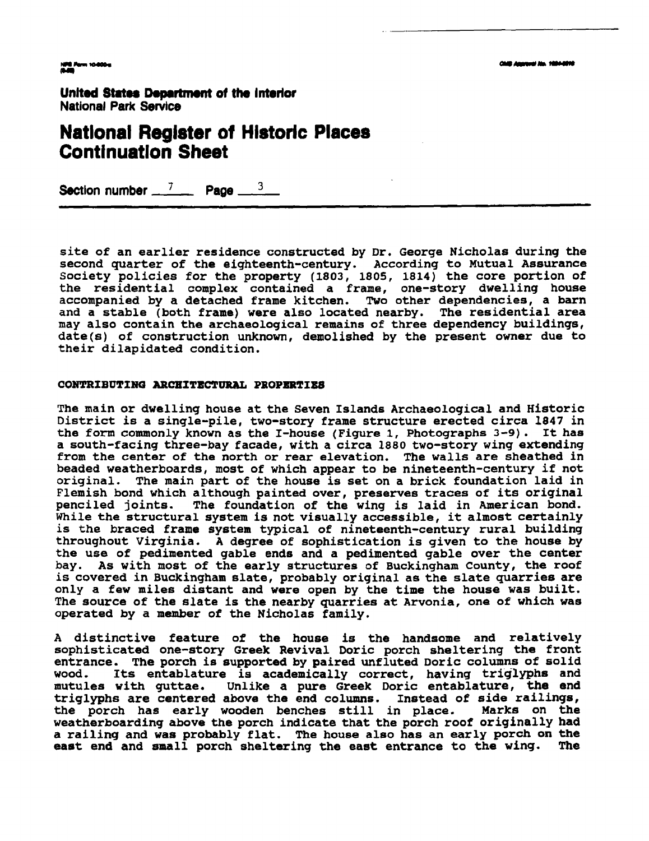#### **Natlonal Reglster of Hlstorlc Places Continuation Sheet**

**Section number**  $\frac{7}{2}$  **Page**  $\frac{3}{2}$ 

**site of an earlier residence constructed by Dr. George Nicholas during the second quarter of the eighteenth-century. According to Mutual Assurance Society policies for the property (1803, 1805, 1814) the core portion of the residential complex contained a frame, one-story dwelling house accompanied by a detached frame kitchen. Two other dependencies, a barn and a stable (both frame) were also located nearby. The residential area may also contain the archaeological remains of three dependency buildings, date(s) of construction unknown, demolished by the present owner due to their dilapidated condition.** 

#### CONTRIBUTING ARCHITECTURAL PROPERTIES

**The main or dwelling house at the Seven Islands Archaeological and Historic District is a single-pile, two-story frame structure erected circa 1847 in the form commonly known as the I-house (Figure 1, Photographs 3-9). It has a south-facing three-bay facade, with a circa 1880 two-story wing extending from the center of the north or rear elevation. The walls are sheathed in beaded weatherboards, most of which appear to be nineteenth-century if not original. The main part of the house is set on a brick foundation laid in Flemish bond which although painted over, preserves traces of its original**  The foundation of the wing is laid in American bond. **While the structural system is not visually accessible, it almost certainly is the braced frame system typical of nineteenth-century rural building throughout Virginia. A degree of sophistication is given to the house by the use of pedimented gable ends and a pedimented gable over the center bay. As with most of the early structures of Buckingham County, the roof is covered in Buckingham slate, probably original as the slate quarries are only a few miles distant and were open by the time the house was built. The source of the slate is the nearby quarries at Arvonia, one of which was operated by a member of the Nicholas family.** 

**A distinctive feature of the house is the handsome and relatively sophisticated one-story Greek Revival Doric porch sheltering the front entrance. The porch is supported by paired unfluted Doric columns of solid wood. Its entablature is academically correct, having triglyphs and**  Unlike a pure Greek Doric entablature, the end **triglyphs are centered above the end columns. Instead of side railings,**  the porch has early wooden benches still in place. **weatherboarding above the porch indicate that the porch roof originally had a railing and was probably flat. The house also has an early porch on the east end and small porch sheltering the east entrance to the wing. The**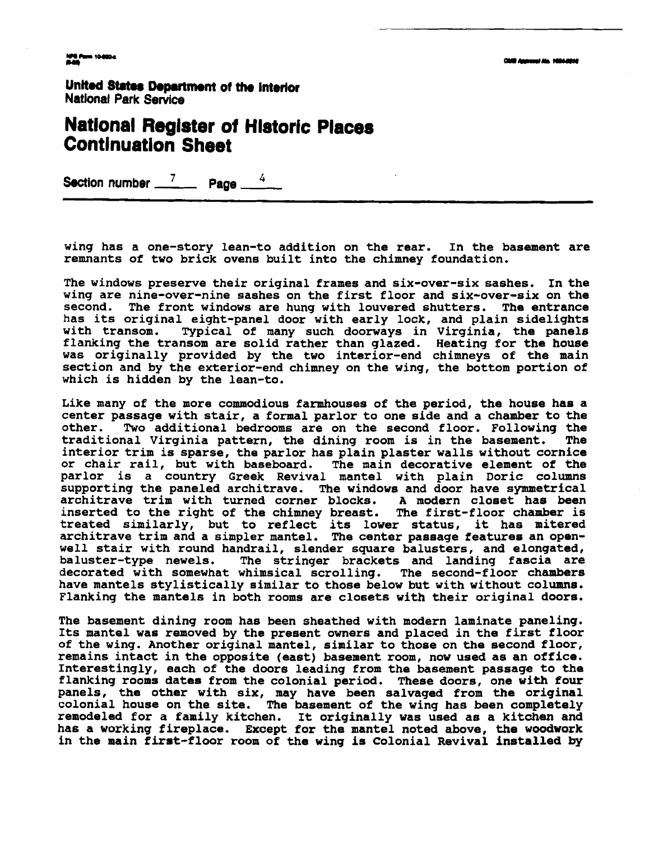### **Natlonal Register ot Hlstoric Places Continuation Sheet**

**Section number**  $\frac{7}{4}$  **Page** 

**wing has a one-story lean-to addition on the rear. In the basement are remnants of two brick ovens built into the chimney foundation.** 

**The windows preserve their original frames and six-over-six sashes. In the wing are nine-over-nine sashes on the first floor and six-over-six on the second. The front windows are hung with louvered shutters. The entrance has its original eight-panel door with early lock, and plain sidelights with transom. Typical of many such doorways in Virginia, the panels flanking the transom are solid rather than glazed. Heating for the house was originally provided by the two interior-end chimneys of the main section and by the exterior-end chimney on the wing, the bottom portion of which is hidden by the lean-to.** 

**Like many of the more commodious farmhouses of the period, the house has a center passage with stair, a formal parlor to one side and a chamber to the**  Two additional bedrooms are on the second floor. Following the **helm** is in the basement. The traditional Virginia pattern, the dining room is in the basement. **interior trim is sparse, the parlor has plain plaster walls without cornice or chair rail, but with baseboard. The main decorative element of the parlor is a country Greek Revival mantel with plain Doric columns supporting the paneled architrave. The windows and door have symmetrical architrave trim with turned corner blocks. A rnodern closet has been inserted to the right of the chimney breast. The first-floor chamber is treated similarly, but to reflect its lower status, it has mitered architrave trim and a simpler mantel. The center passage features an openwell stair with round handrail, slender square balusters, and elongated, baluster-type newels. The stringer brackets and landing fascia are decorated with somewhat whimsical scrolling. The second-floor chambers have mantels stylistically similar to those below but with without columns. Flanking the mantels in both rooms are closets with their original doors.** 

**The basement dining room has been sheathed with modern laminate paneling. Its mantel was removed by the present owners and placed in the first floor of the wing. Another original mantel, similar to those on the second floor, remains intact in the opposite (east) basement room, now used as an office. Interestingly, each of the doors leading from the basement passage to the flanking rooms dates from the colonial period. These doors, one with four panels, the other with six, may have been salvaged from the original colonial house on the site. The basement of the wing has been completely remodeled for a family kitchen. It originally was used as a kitchen and has a working fireplace. Except for the mantel noted above, the woodwork in the main first-floor room of the wing is Colonial Revival installed by**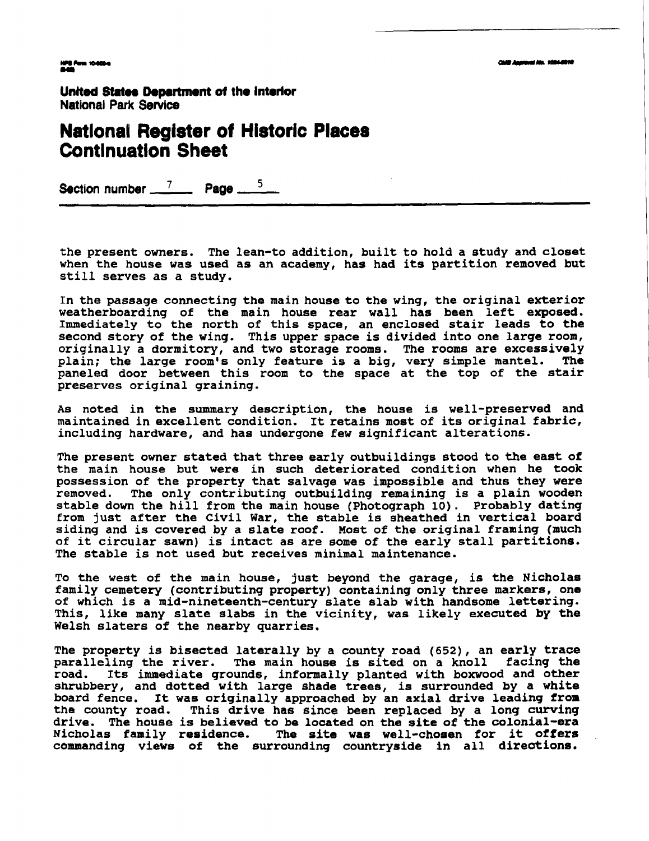NPS Ferm 10-800-e<br>Male

United States Department of the interior **National Park Service** 

#### **Natlonal Register of Historic Places Continuatlon Sheet**

Section number  $\frac{7}{2}$  Page  $\frac{3}{2}$ 

**the present owners. The lean-to addition, built to hold a study and closet when the house was used as an academy, has had its partition removed but still serves as a study.** 

**In the passage connecting the main house to the wing, the original exterior weatherboarding of the main house rear wall has been left exposed. Immediately to the north of this space, an enclosed stair leads to the second story of the wing. This upper space is divided into one large room, originally a dormitory, and two storage rooms. The rooms are excessively**  plain; the large room's only feature is a big, very simple mantel. **paneled door between this room to the space at the top of the stair preserves original graining.** 

**As noted in the summary description, the house is well-preserved and maintained in excellent condition. It retains most of its original fabric, including hardware, and has undergone few significant alterations.** 

**The present owner stated that three early outbuildings stood to the east of the main house but were in such deteriorated condition when he took possession of the property that salvage was impossible and thus they were**  The only contributing outbuilding remaining is a plain wooden **stable down the hill from the main house (Photograph 10). Probably dating from just after the Civil War, the stable is sheathed in vertical board siding and is covered by a slate roof. Most of the original framing (much of it circular sawn) is intact as are some of the early stall partitions. The stable is not used but receives minimal maintenance.** 

**To the west of the main house, just beyond the garage, is the Nicholas family cemetery (contributing property) containing only three markers, one of which is a mid-nineteenth-century slate slab with handsome lettering. This, like many slate slabs in the vicinity, was likely executed by the Welsh slaters of the nearby quarries.** 

**The property is bisected laterally by a county road (652), an early trace paralleling the river. The main house is sited on a knoll facing the road. Its immediate grounds, informally planted with boxwood and other shrubbery, and dotted with large shade trees, is surrounded by a white board fence. It was originally approached by an axial drive leading from**  This drive has since been replaced by a long curving **drive. The house is believed to be located on the site of the colonial-era**  The site was well-chosen for it offers **commanding views of the surrounding countryside in all directions.**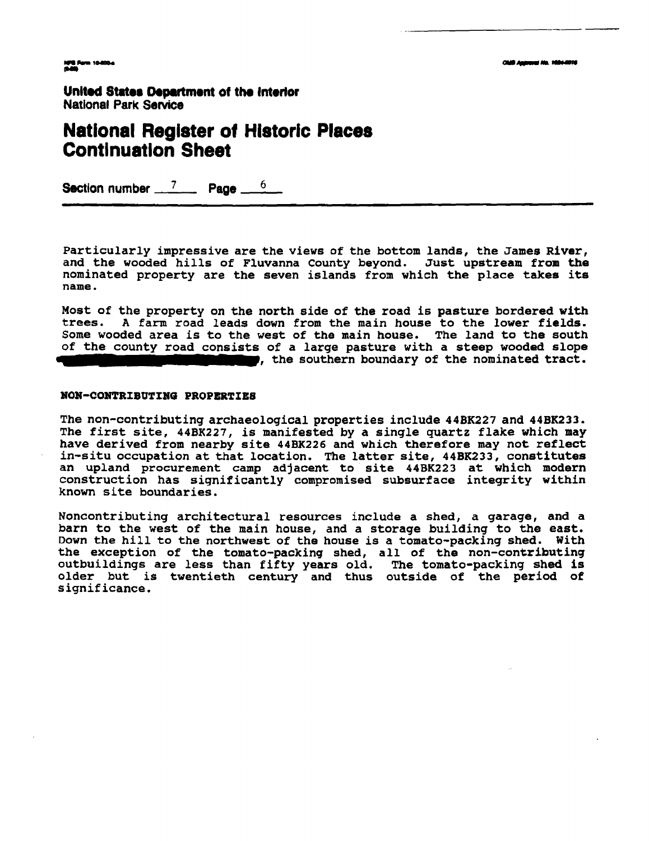#### **National Register of Historic Places Continuation Sheet**

**Section number 7 Page 6** 

**Particularly impressive are the views of the bottom lands, the James River, and the wooded hills of Fluvanna County beyond. Just upstream from the nominated property are the seven islands from which the place takes its name.** 

**Most of the property on the north side of the road is pasture bordered with trees. A farm road leads down from the main house to the lower fields. Some wooded area is to the west of the main house. The land to the south**  of the county road consists of a large pasture with a steep wooded slope **and the southern boundary** of the nominated tract.

#### **#ON-CONTRIBUTING PROPERTIES**

**The non-contributing archaeological properties include 44BK227 and 44BK233. The first site, 44BK227, is manifested by a single quartz flake which may have derived from nearby site 44BK226 and which therefore may not reflect in-situ occupation at that location. The latter site, 44BK233, constitutes an upland procurement camp adjacent to site 44BK223 at which modern construction has significantly compromised subsurface integrity within known site boundaries.** 

**Noncontributing architectural resources include a shed, a garage, and a barn to the west of the main house, and a storage building to the east. Down the hill to the northwest of the house is a tomato-packing shed. With the exception of the tomato-packing shed, all of the non-contributing outbuildings are less than fifty years old. The tomato-packing shed is older but is twentieth century and thus outside of the period of significance.**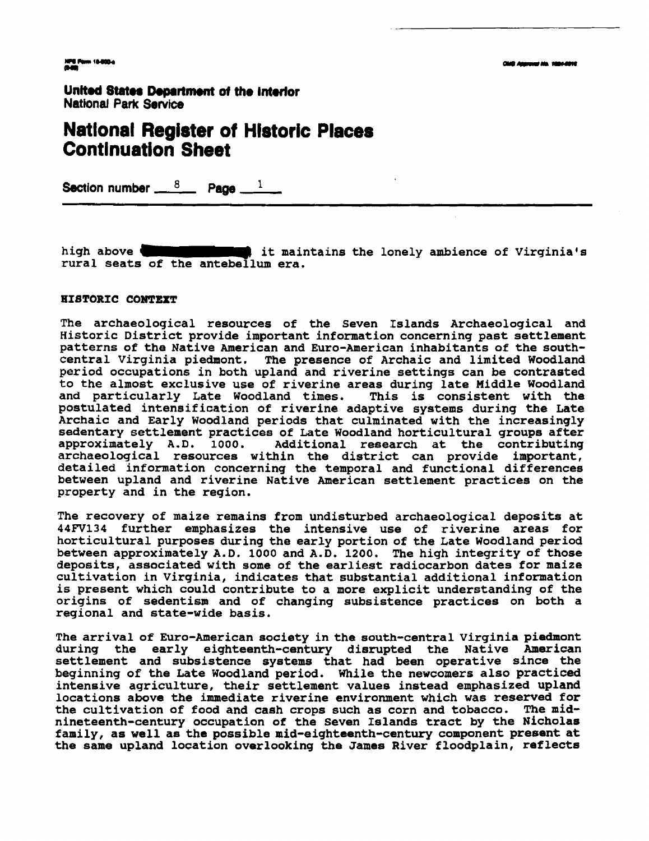### **Natlonal Register of Hlstoric Places ~ontlnuation Sheet**

**Section number**  $\frac{8}{2}$  **Page**  $\frac{1}{2}$ 

high above **<b>11-J and 1** it maintains the lonely ambience of Virginia's **rural seats of the antebellum era.** 

#### **HISTORIC CONTEXT**

**The archaeological resources of the Seven Islands Archaeological and Historic District provide important information concerning past settlement patterns of the Native American and Euro-American inhabitants of the southcentral Virginia piedmont. The presence of Archaic and limited Woodland period occupations in both upland and riverine settings can be contrasted to the almost exclusive use of riverine areas during late Middle Woodland**  and particularly Late Woodland times. **postulated intensification of riverine adaptive systems during the Late Archaic and Early Woodland periods that culminated with the increasingly sedentary settlement practices of Late Woodland horticultural groups after**  Additional research at the contributing **archaeological resources within the district can provide important, detailed information concerning the temporal and functional differences between upland and riverine Native American settlement practices on the property and in the region.** 

**The recovery of maize remains from undisturbed archaeological deposits at 44FV134 further emphasizes the intensive use of riverine areas for horticultural purposes during the early portion of the Late Woodland period between approximately A. D. 1000 and A.D. 1200. The high integrity of those deposits, associated with some of the earliest radiocarbon dates for maize cultivation in Virginia, indicates that substantial additional information is present which could contribute to a more explicit understanding of the origins of sedentism and of changing subsistence practices on both a regional and state-wide basis.** 

**The arrival of Euro-American society in the south-central Virginia piedmont during the early eighteenth-century disrupted the Native American settlement and subsistence systems that had been operative since the beginning of the Late Woodland period. While the newcomers also practiced intensive agriculture, their settlement values instead emphasized upland locations above the immediate riverine environment which was reserved for the cultivation of food and cash crops such as corn and tobacco. The midnineteenth-century occupation of the Seven Islands tract by the Nicholas family, as well as the possible mid-eighteenth-century component present at the same upland location overlooking the James River floodplain, reflects**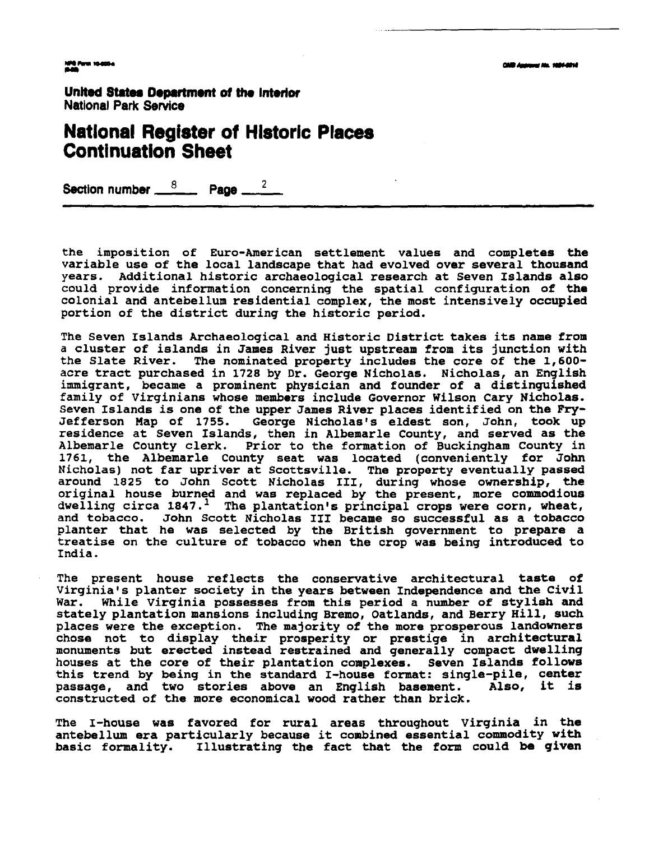**MPS Form 10-000-4** 

United States Department of the Interior **National Park Service** 

### **Natlonal Register of Historic Places Continuation Sheet**

**Section number**  $\frac{8}{2}$  **Page**  $\frac{2}{2}$ 

**the imposition of Euro-American settlement values and completes the variable use of the local landscape that had evolved over several thousand years. Additional historic archaeological research at Seven Islands also could provide information concerning the spatial configuration of the colonial and antebellum residential complex, the most intensively occupied portion of the district during the historic period.** 

**The Seven Islands Archaeological and Historic District takes its name from a cluster of islands in James River just upstream from its junction with**  The nominated property includes the core of the 1,600**acre tract purchased in 1728 by Dr. George Nicholas. Nicholas, an English immigrant, became a prominent physician and founder of a distinguished family of Virginians whose members include Governor Wilson Cary Nicholas.**  Seven Islands is one of the upper James River places identified on the Fry-<br>Jefferson Map of 1755. George Nicholas's eldest son, John, took up George Nicholas's eldest son, John, took up **residence at Seven Islands, then in Albemarle County, and served as the Albemarle County clerk. Prior to the formation of Buckingham County in 1761, the Albemarle County seat was located (conveniently for John Nicholas) not far upriver at Scottsville. The property eventually passed around 1825 to John Scott Nicholas 111, during whose ownership, the original house burned and was replaced by the present, more commodious**  dwelling circa 1847.<sup>1</sup> The plantation's principal crops were corn, wheat, **and tobacco. John Scott Nicholas 111 became so successful as a tobacco planter that he was selected by the British government to prepare a treatise on the culture of tobacco when the crop was being introduced to India.** 

**The present house reflects the conservative architectural taste of Virginia's planter society in the years betwaen Independence and the Civil War. While Virginia possesses from this period a number of stylish and stately plantation mansions including Bremo, Oatlands, and Berry Hill, such places were the exception. The majority of the more prosperous landownere chose not to display their prosperity or prestige in architectural monuments but erected instead restrained and generally compact dwelling houses at the core of their plantation complexes. Seven Islands follows this trend by being in the standard I-house format: single-pile, center**  passage, and two stories above an English basement. **constructed of the more economical wood rather than brick.** 

**The I-house was favored for rural areas throughout Virginia in the antebellum era particularly because it combined essential commodity with basic formality. Illustrating the fact that the form could be given**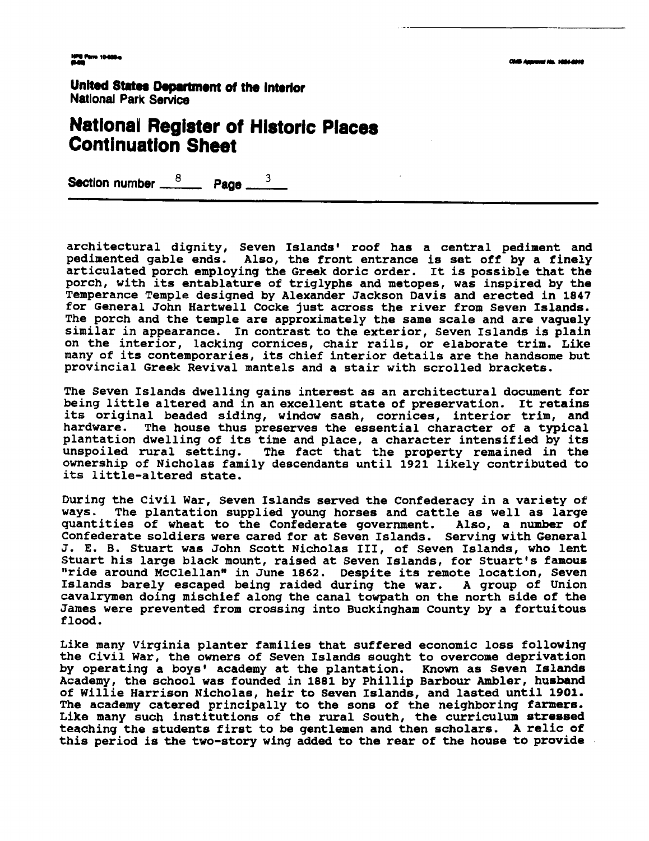### **Nationai Register of Hlstorlc Places Continuation Sheet**

**Section number**  $\frac{8}{2}$  **<b>Page**  $\frac{3}{2}$ 

**architectural dignity, Seven Islands' roof has a central pediment and pedimented gable ends. Also, the front entrance is set off by a finely articulated porch employing the Greek doric order. It is possible that the porch, with its entablature of triglyphs and metopes, was inspired by the Temperance Temple designed by Alexander Jackson Davis and erected in 1847 for General John Hartwell Cocke just across the river from Seven Islands. The porch and the temple are approximately the same scale and are vaguely similar in appearance. In contrast to the exterior, Seven Islands is plain on the interior, lacking cornices, chair rails, or elaborate trim. Like many of its contemporaries, its chief interior details are the handsome but provincial Greek Revival mantels and a stair with scrolled brackets.** 

**The Seven Islands dwelling gains interest as an architectural document for being little altered and in an excellent state of preservation. It retains its original beaded siding, window sash, cornices, interior trim, and**  The house thus preserves the essential character of a typical **plantation dwelling of its time and place, a character intensified by its unspoiled rural setting. The fact that the property remained in the ownership of Nicholas family descendants until 1921 likely contributed to its little-altered state.** 

**During the Civil War, Seven Islands served the Confederacy in a variety of ways. The plantation supplied young horses and cattle as well as large quantities of wheat to the Confederate government. Also, a number of Confederate soldiers were cared for at Seven Islands. Serving with General J. E. B. Stuart was John Scott Nicholas 111, of Seven Islands, who lent Stuart his large black mount, raised at Seven Islands, for Stuart's famous**  "ride around McClellan" in June 1862. Despite its remote location, Seven **Islands barely escaped being raided during the war. A group of Union cavalrymen doing mischief along the canal towpath on the north side of the James were prevented from crossing into Buckingham County by a fortuitous flood.** 

**Like many Virginia planter families that suffered economic loss following the Civil War, the owners of Seven Islands sought to overcome deprivation by operating a boys' academy at the plantation. Known as Seven Islands Academy, the school was founded in 1881 by Phillip Barbour Ambler, husband of Willie Harrison Nicholas, heir to Seven Islands, and lasted until 1901. The academy catered principally to the sons of the neighboring farmers. Like many such institutions of the rural South, the curriculum stressed teaching the students first to be gentlemen and then scholars. A relic of this period is the two-story wing added to the rear of the house to provide**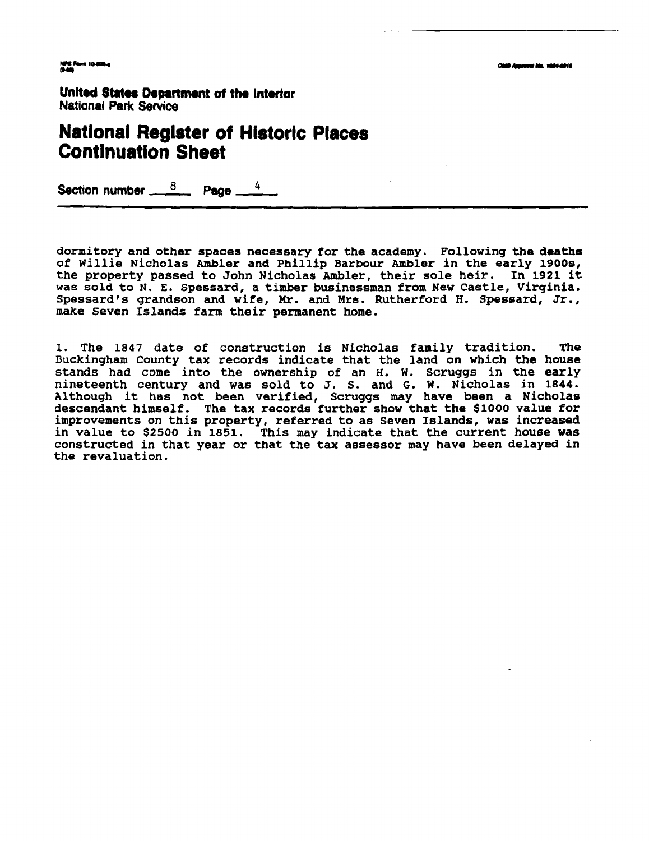**Clair Assement No. 1984-0018** 

1978 Pami 10-800-a<br>Mata

**United States Department of the Interior National Perk Service** 

### **National Register of Historic Places Continuation Sheet**

**Section number Page** *<sup>4</sup>*

**dormitory and other spaces necessary for the academy. Following the deaths of Willie Nicholas Ambler and Phillip Barbour Ambler in the early 1900s, the property passed to John Nicholas Ambler, their sole heir. In 1921 it was sold to N. E. spessard, a timber businessman from New Castle, Virginia.**  Spessard's grandson and wife, Mr. and Mrs. Rutherford H. Spessard, Jr., **make Seven Islands farm their permanent home.** 

**1. The 1847 date of construction is Nicholas family tradition. The Buckingham County tax records indicate that the land on which the house stands had come into the ownership of an H. W. Scruggs in the early nineteenth century and was sold to J. S. and G. W. Nicholas in 1844. Although it has not been verified, Scruggs may have been a Nicholas descendant himself. The tax records further show that the \$1000 value for improvements on this property, referred to as Seven Islands, was increased in value to \$2500 in 1851. This may indicate that the current house was constructed in that year or that the tax assessor may have been delayed in the revaluation.**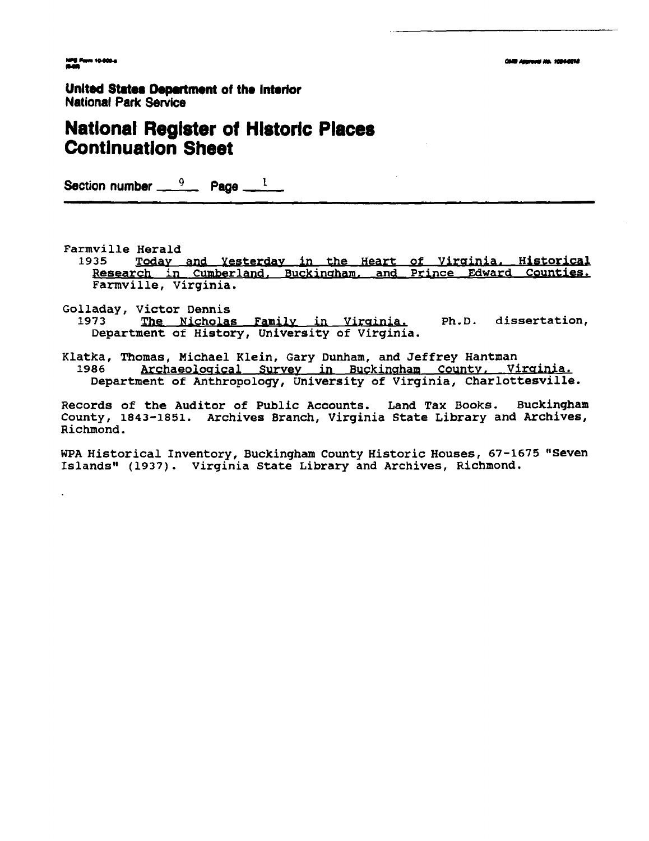### **National Register of Historic Places Continuation Sheet**

Section number  $\frac{9}{2}$  Page  $\frac{1}{2}$ 

Farmville Herald

1935 Today and Yesterday in the Heart of Virginia. Historical Research in Cumberland, Buckingham, and Prince Edward Counties. Farmville, Virginia.

Golladay, Victor Dennis 1973 The Nicholas Family in Virginia. Ph.D. dissertation, Department of History, University of Virginia.

Klatka, Thomas, Michael Klein, Gary Dunham, and Jeffrey Hantman Archaeological Survey in Buckingham County, Virginia. 1986 Department of Anthropology, University of Virginia, Charlottesville.

Records of the Auditor of Public Accounts. Land Tax Books. Buckingham County, 1843-1851. Archives Branch, Virginia State Library and Archives, Richmond.

WPA Historical Inventory, Buckingham County Historic Houses, 67-1675 "Seven Islands" (1937). Virginia State Library and Archives, Richmond.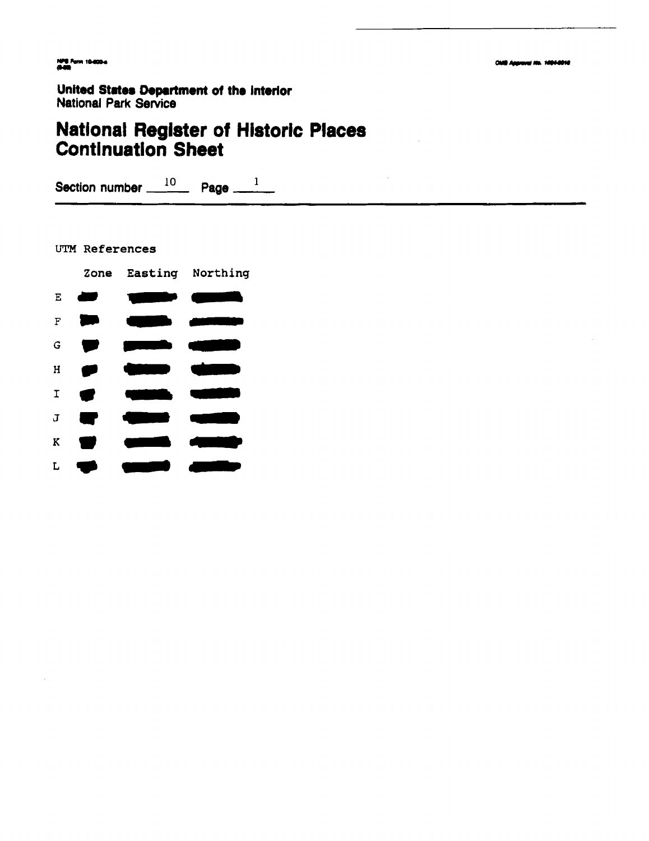### **National Register of Historic Places Continuation Sheet**

Section number  $10$  Page  $1$ 

UTM References

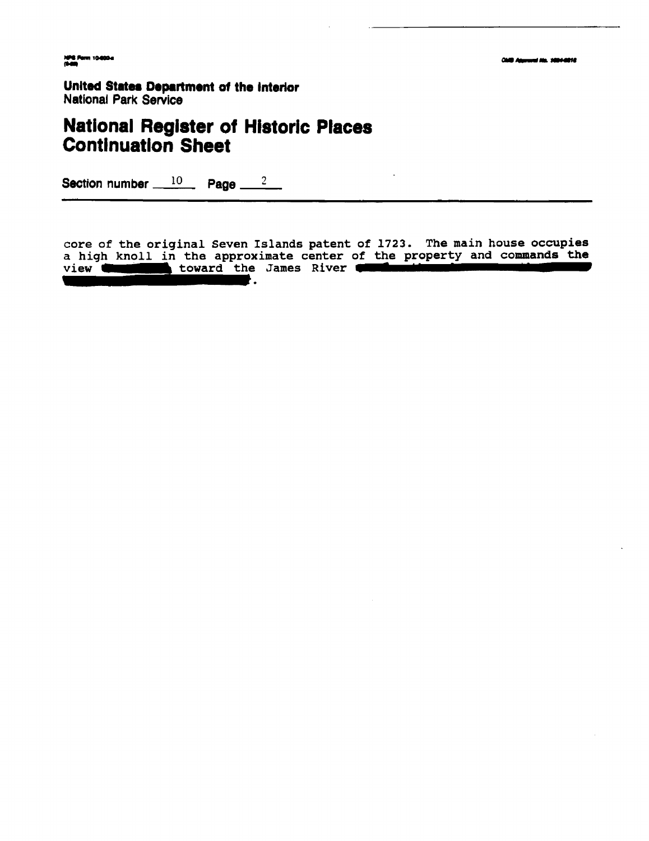### **National Register of Historic Places Continuation Sheet**

**Section number 10 Page 2** 

**core of the original Seven Islands patent of 1723. The main house occupies a high knoll in the approximate center of the property and commands the view Continuation and States Department of the interior National Park Service**<br> **National Register of Historic Places**<br> **Continuation Sheet**<br>
Section number 10 Page 2<br>
<br>
core of the original Seven Islands patent of 17<br>
a